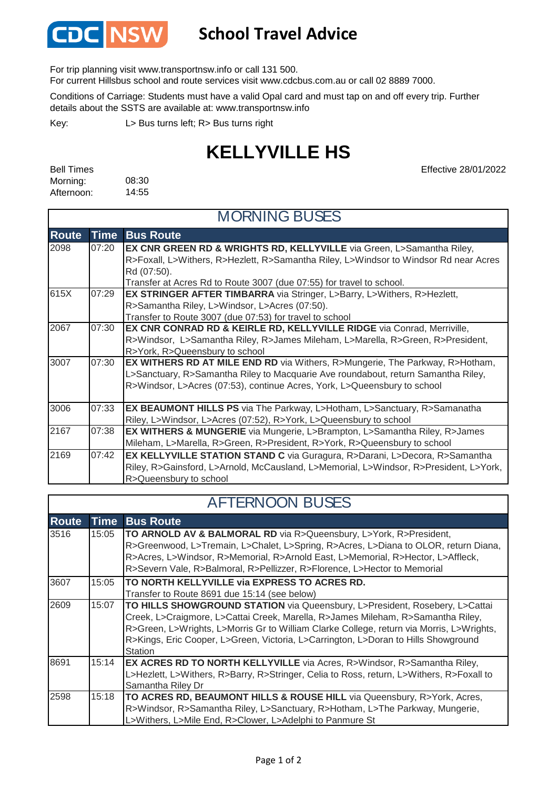

## **School Travel Advice**

For trip planning visit www.transportnsw.info or call 131 500.

For current Hillsbus school and route services visit www.cdcbus.com.au or call 02 8889 7000.

Conditions of Carriage: Students must have a valid Opal card and must tap on and off every trip. Further details about the SSTS are available at: www.transportnsw.info

L> Bus turns left; R> Bus turns right Key:

## **KELLYVILLE HS**

Effective 28/01/2022

| <b>Bell Times</b> |       |
|-------------------|-------|
| Morning:          | 08:30 |
| Afternoon:        | 14:55 |

 $\mathsf{r}$ 

| <b>MORNING BUSES</b> |             |                                                                                                                                                                                                                                                      |  |
|----------------------|-------------|------------------------------------------------------------------------------------------------------------------------------------------------------------------------------------------------------------------------------------------------------|--|
| <b>Route</b>         | <b>Time</b> | <b>Bus Route</b>                                                                                                                                                                                                                                     |  |
| 2098                 | 07:20       | EX CNR GREEN RD & WRIGHTS RD, KELLYVILLE via Green, L>Samantha Riley,<br>R>Foxall, L>Withers, R>Hezlett, R>Samantha Riley, L>Windsor to Windsor Rd near Acres<br>Rd (07:50).<br>Transfer at Acres Rd to Route 3007 (due 07:55) for travel to school. |  |
| 615X                 | 07:29       | <b>EX STRINGER AFTER TIMBARRA</b> via Stringer, L>Barry, L>Withers, R>Hezlett,<br>R>Samantha Riley, L>Windsor, L>Acres (07:50).<br>Transfer to Route 3007 (due 07:53) for travel to school                                                           |  |
| 2067                 | 07:30       | EX CNR CONRAD RD & KEIRLE RD, KELLYVILLE RIDGE via Conrad, Merriville,<br>R>Windsor, L>Samantha Riley, R>James Mileham, L>Marella, R>Green, R>President,<br>R>York, R>Queensbury to school                                                           |  |
| 3007                 | 07:30       | <b>EX WITHERS RD AT MILE END RD</b> via Withers, R>Mungerie, The Parkway, R>Hotham,<br>L>Sanctuary, R>Samantha Riley to Macquarie Ave roundabout, return Samantha Riley,<br>R>Windsor, L>Acres (07:53), continue Acres, York, L>Queensbury to school |  |
| 3006                 | 07:33       | EX BEAUMONT HILLS PS via The Parkway, L>Hotham, L>Sanctuary, R>Samanatha<br>Riley, L>Windsor, L>Acres (07:52), R>York, L>Queensbury to school                                                                                                        |  |
| 2167                 | 07:38       | EX WITHERS & MUNGERIE via Mungerie, L>Brampton, L>Samantha Riley, R>James<br>Mileham, L>Marella, R>Green, R>President, R>York, R>Queensbury to school                                                                                                |  |
| 2169                 | 07:42       | <b>EX KELLYVILLE STATION STAND C</b> via Guragura, R>Darani, L>Decora, R>Samantha<br>Riley, R>Gainsford, L>Arnold, McCausland, L>Memorial, L>Windsor, R>President, L>York,<br>R>Queensbury to school                                                 |  |

| <b>AFTERNOON BUSES</b> |             |                                                                                                                                                                                                                                                                                                                                                             |  |  |
|------------------------|-------------|-------------------------------------------------------------------------------------------------------------------------------------------------------------------------------------------------------------------------------------------------------------------------------------------------------------------------------------------------------------|--|--|
| <b>Route</b>           | <b>Time</b> | <b>Bus Route</b>                                                                                                                                                                                                                                                                                                                                            |  |  |
| 3516                   | 15:05       | TO ARNOLD AV & BALMORAL RD via R>Queensbury, L>York, R>President,<br>R>Greenwood, L>Tremain, L>Chalet, L>Spring, R>Acres, L>Diana to OLOR, return Diana,<br>R>Acres, L>Windsor, R>Memorial, R>Arnold East, L>Memorial, R>Hector, L>Affleck,<br>R>Severn Vale, R>Balmoral, R>Pellizzer, R>Florence, L>Hector to Memorial                                     |  |  |
| 3607                   | 15:05       | TO NORTH KELLYVILLE via EXPRESS TO ACRES RD.<br>Transfer to Route 8691 due 15:14 (see below)                                                                                                                                                                                                                                                                |  |  |
| 2609                   | 15:07       | TO HILLS SHOWGROUND STATION via Queensbury, L>President, Rosebery, L>Cattai<br>Creek, L>Craigmore, L>Cattai Creek, Marella, R>James Mileham, R>Samantha Riley,<br>R>Green, L>Wrights, L>Morris Gr to William Clarke College, return via Morris, L>Wrights,<br>R>Kings, Eric Cooper, L>Green, Victoria, L>Carrington, L>Doran to Hills Showground<br>Station |  |  |
| 8691                   | 15:14       | <b>EX ACRES RD TO NORTH KELLYVILLE</b> via Acres, R>Windsor, R>Samantha Riley,<br>L>Hezlett, L>Withers, R>Barry, R>Stringer, Celia to Ross, return, L>Withers, R>Foxall to<br>Samantha Riley Dr                                                                                                                                                             |  |  |
| 2598                   | 15:18       | TO ACRES RD, BEAUMONT HILLS & ROUSE HILL via Queensbury, R>York, Acres,<br>R>Windsor, R>Samantha Riley, L>Sanctuary, R>Hotham, L>The Parkway, Mungerie,<br>L>Withers, L>Mile End, R>Clower, L>Adelphi to Panmure St                                                                                                                                         |  |  |